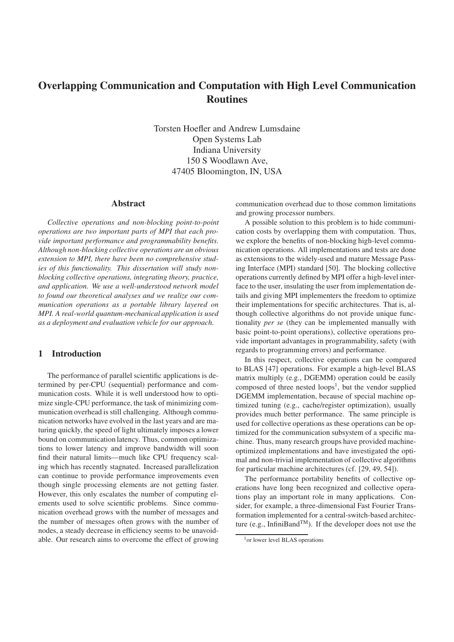# **Overlapping Communication and Computation with High Level Communication Routines**

Torsten Hoefler and Andrew Lumsdaine Open Systems Lab Indiana University 150 S Woodlawn Ave, 47405 Bloomington, IN, USA

#### **Abstract**

*Collective operations and non-blocking point-to-point operations are two important parts of MPI that each provide important performance and programmability benefits. Although non-blocking collective operations are an obvious extension to MPI, there have been no comprehensive studies of this functionality. This dissertation will study nonblocking collective operations, integrating theory, practice, and application. We use a well-understood network model to found our theoretical analyses and we realize our communication operations as a portable library layered on MPI. A real-world quantum-mechanical application is used as a deployment and evaluation vehicle for our approach.*

## **1 Introduction**

The performance of parallel scientific applications is determined by per-CPU (sequential) performance and communication costs. While it is well understood how to optimize single-CPU performance, the task of minimizing communication overhead is still challenging. Although communication networks have evolved in the last years and are maturing quickly, the speed of light ultimately imposes a lower bound on communication latency. Thus, common optimizations to lower latency and improve bandwidth will soon find their natural limits—much like CPU frequency scaling which has recently stagnated. Increased parallelization can continue to provide performance improvements even though single processing elements are not getting faster. However, this only escalates the number of computing elements used to solve scientific problems. Since communication overhead grows with the number of messages and the number of messages often grows with the number of nodes, a steady decrease in efficiency seems to be unavoidable. Our research aims to overcome the effect of growing communication overhead due to those common limitations and growing processor numbers.

A possible solution to this problem is to hide communication costs by overlapping them with computation. Thus, we explore the benefits of non-blocking high-level communication operations. All implementations and tests are done as extensions to the widely-used and mature Message Passing Interface (MPI) standard [50]. The blocking collective operations currently defined by MPI offer a high-level interface to the user, insulating the user from implementation details and giving MPI implementers the freedom to optimize their implementations for specific architectures. That is, although collective algorithms do not provide unique functionality *per se* (they can be implemented manually with basic point-to-point operations), collective operations provide important advantages in programmability, safety (with regards to programming errors) and performance.

In this respect, collective operations can be compared to BLAS [47] operations. For example a high-level BLAS matrix multiply (e.g., DGEMM) operation could be easily composed of three nested loops<sup>1</sup>, but the vendor supplied DGEMM implementation, because of special machine optimized tuning (e.g., cache/register optimization), usually provides much better performance. The same principle is used for collective operations as these operations can be optimized for the communication subsystem of a specific machine. Thus, many research groups have provided machineoptimized implementations and have investigated the optimal and non-trivial implementation of collective algorithms for particular machine architectures (cf. [29, 49, 54]).

The performance portability benefits of collective operations have long been recognized and collective operations play an important role in many applications. Consider, for example, a three-dimensional Fast Fourier Transformation implemented for a central-switch-based architecture (e.g., InfiniBand<sup>TM</sup>). If the developer does not use the

<sup>&</sup>lt;sup>1</sup> or lower level BLAS operations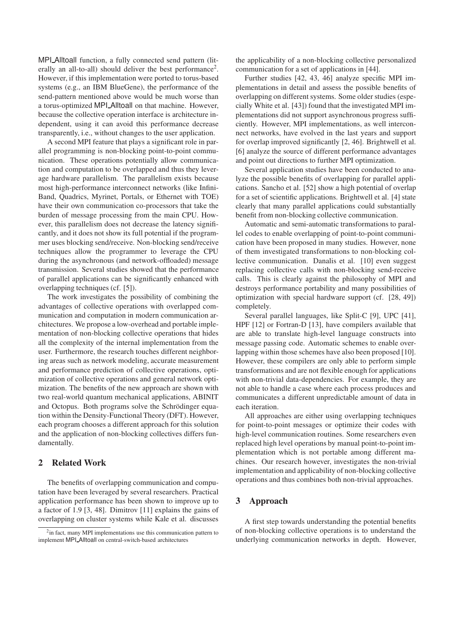MPI Alltoall function, a fully connected send pattern (literally an all-to-all) should deliver the best performance<sup>2</sup>. However, if this implementation were ported to torus-based systems (e.g., an IBM BlueGene), the performance of the send-pattern mentioned above would be much worse than a torus-optimized MPI\_Alltoall on that machine. However, because the collective operation interface is architecture independent, using it can avoid this performance decrease transparently, i.e., without changes to the user application.

A second MPI feature that plays a significant role in parallel programming is non-blocking point-to-point communication. These operations potentially allow communication and computation to be overlapped and thus they leverage hardware parallelism. The parallelism exists because most high-performance interconnect networks (like Infini-Band, Quadrics, Myrinet, Portals, or Ethernet with TOE) have their own communication co-processors that take the burden of message processing from the main CPU. However, this parallelism does not decrease the latency significantly, and it does not show its full potential if the programmer uses blocking send/receive. Non-blocking send/receive techniques allow the programmer to leverage the CPU during the asynchronous (and network-offloaded) message transmission. Several studies showed that the performance of parallel applications can be significantly enhanced with overlapping techniques (cf. [5]).

The work investigates the possibility of combining the advantages of collective operations with overlapped communication and computation in modern communication architectures. We propose a low-overhead and portable implementation of non-blocking collective operations that hides all the complexity of the internal implementation from the user. Furthermore, the research touches different neighboring areas such as network modeling, accurate measurement and performance prediction of collective operations, optimization of collective operations and general network optimization. The benefits of the new approach are shown with two real-world quantum mechanical applications, ABINIT and Octopus. Both programs solve the Schrödinger equation within the Density-Functional Theory (DFT). However, each program chooses a different approach for this solution and the application of non-blocking collectives differs fundamentally.

## **2 Related Work**

The benefits of overlapping communication and computation have been leveraged by several researchers. Practical application performance has been shown to improve up to a factor of 1.9 [3, 48]. Dimitrov [11] explains the gains of overlapping on cluster systems while Kale et al. discusses

the applicability of a non-blocking collective personalized communication for a set of applications in [44].

Further studies [42, 43, 46] analyze specific MPI implementations in detail and assess the possible benefits of overlapping on different systems. Some older studies (especially White et al. [43]) found that the investigated MPI implementations did not support asynchronous progress sufficiently. However, MPI implementations, as well interconnect networks, have evolved in the last years and support for overlap improved significantly [2, 46]. Brightwell et al. [6] analyze the source of different performance advantages and point out directions to further MPI optimization.

Several application studies have been conducted to analyze the possible benefits of overlapping for parallel applications. Sancho et al. [52] show a high potential of overlap for a set of scientific applications. Brightwell et al. [4] state clearly that many parallel applications could substantially benefit from non-blocking collective communication.

Automatic and semi-automatic transformations to parallel codes to enable overlapping of point-to-point communication have been proposed in many studies. However, none of them investigated transformations to non-blocking collective communication. Danalis et al. [10] even suggest replacing collective calls with non-blocking send-receive calls. This is clearly against the philosophy of MPI and destroys performance portability and many possibilities of optimization with special hardware support (cf. [28, 49]) completely.

Several parallel languages, like Split-C [9], UPC [41], HPF [12] or Fortran-D [13], have compilers available that are able to translate high-level language constructs into message passing code. Automatic schemes to enable overlapping within those schemes have also been proposed [10]. However, these compilers are only able to perform simple transformations and are not flexible enough for applications with non-trivial data-dependencies. For example, they are not able to handle a case where each process produces and communicates a different unpredictable amount of data in each iteration.

All approaches are either using overlapping techniques for point-to-point messages or optimize their codes with high-level communication routines. Some researchers even replaced high level operations by manual point-to-point implementation which is not portable among different machines. Our research however, investigates the non-trivial implementation and applicability of non-blocking collective operations and thus combines both non-trivial approaches.

#### **3 Approach**

A first step towards understanding the potential benefits of non-blocking collective operations is to understand the underlying communication networks in depth. However,

<sup>&</sup>lt;sup>2</sup>in fact, many MPI implementations use this communication pattern to implement MPI Alltoall on central-switch-based architectures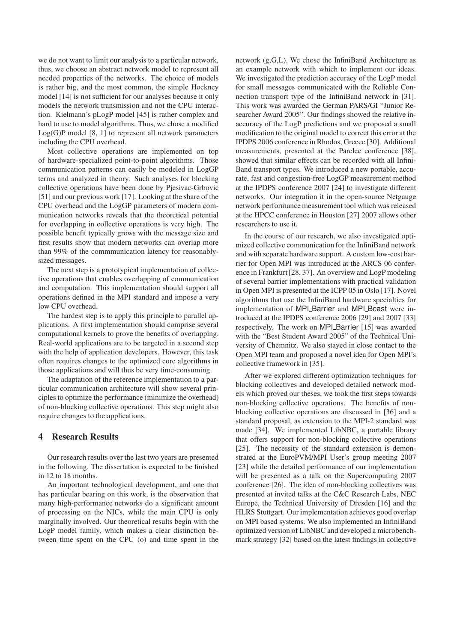we do not want to limit our analysis to a particular network, thus, we choose an abstract network model to represent all needed properties of the networks. The choice of models is rather big, and the most common, the simple Hockney model [14] is not sufficient for our analyses because it only models the network transmission and not the CPU interaction. Kielmann's pLogP model [45] is rather complex and hard to use to model algorithms. Thus, we chose a modified  $Log(G)$ P model [8, 1] to represent all network parameters including the CPU overhead.

Most collective operations are implemented on top of hardware-specialized point-to-point algorithms. Those communication patterns can easily be modeled in LogGP terms and analyzed in theory. Such analyses for blocking collective operations have been done by Pjesivac-Grbovic [51] and our previous work [17]. Looking at the share of the CPU overhead and the LogGP parameters of modern communication networks reveals that the theoretical potential for overlapping in collective operations is very high. The possible benefit typically grows with the message size and first results show that modern networks can overlap more than 99% of the commmunication latency for reasonablysized messages.

The next step is a prototypical implementation of collective operations that enables overlapping of communication and computation. This implementation should support all operations defined in the MPI standard and impose a very low CPU overhead.

The hardest step is to apply this principle to parallel applications. A first implementation should comprise several computational kernels to prove the benefits of overlapping. Real-world applications are to be targeted in a second step with the help of application developers. However, this task often requires changes to the optimized core algorithms in those applications and will thus be very time-consuming.

The adaptation of the reference implementation to a particular communication architecture will show several principles to optimize the performance (minimize the overhead) of non-blocking collective operations. This step might also require changes to the applications.

## **4 Research Results**

Our research results over the last two years are presented in the following. The dissertation is expected to be finished in 12 to 18 months.

An important technological development, and one that has particular bearing on this work, is the observation that many high-performance networks do a significant amount of processing on the NICs, while the main CPU is only marginally involved. Our theoretical results begin with the LogP model family, which makes a clear distinction between time spent on the CPU (o) and time spent in the network (g,G,L). We chose the InfiniBand Architecture as an example network with which to implement our ideas. We investigated the prediction accuracy of the LogP model for small messages communicated with the Reliable Connection transport type of the InfiniBand network in [31]. This work was awarded the German PARS/GI "Junior Researcher Award 2005". Our findings showed the relative inaccuracy of the LogP predictions and we proposed a small modification to the original model to correct this error at the IPDPS 2006 conference in Rhodos, Greece [30]. Additional measurements, presented at the Parelec conference [38], showed that similar effects can be recorded with all Infini-Band transport types. We introduced a new portable, accurate, fast and congestion-free LogGP measurement method at the IPDPS conference 2007 [24] to investigate different networks. Our integration it in the open-source Netgauge network performance measurement tool which was released at the HPCC conference in Houston [27] 2007 allows other researchers to use it.

In the course of our research, we also investigated optimized collective communication for the InfiniBand network and with separate hardware support. A custom low-cost barrier for Open MPI was introduced at the ARCS 06 conference in Frankfurt [28, 37]. An overview and LogP modeling of several barrier implementations with practical validation in Open MPI is presented at the ICPP 05 in Oslo [17]. Novel algorithms that use the InfiniBand hardware specialties for implementation of MPI<sub>-</sub>Barrier and MPI<sub>-Bcast</sub> were introduced at the IPDPS conference 2006 [29] and 2007 [33] respectively. The work on MPI Barrier [15] was awarded with the "Best Student Award 2005" of the Technical University of Chemnitz. We also stayed in close contact to the Open MPI team and proposed a novel idea for Open MPI's collective framework in [35].

After we explored different optimization techniques for blocking collectives and developed detailed network models which proved our theses, we took the first steps towards non-blocking collective operations. The benefits of nonblocking collective operations are discussed in [36] and a standard proposal, as extension to the MPI-2 standard was made [34]. We implemented LibNBC, a portable library that offers support for non-blocking collective operations [25]. The necessity of the standard extension is demonstrated at the EuroPVM/MPI User's group meeting 2007 [23] while the detailed performance of our implementation will be presented as a talk on the Supercomputing 2007 conference [26]. The idea of non-blocking collectives was presented at invited talks at the C&C Research Labs, NEC Europe, the Technical University of Dresden [16] and the HLRS Stuttgart. Our implementation achieves good overlap on MPI based systems. We also implemented an InfiniBand optimized version of LibNBC and developed a microbenchmark strategy [32] based on the latest findings in collective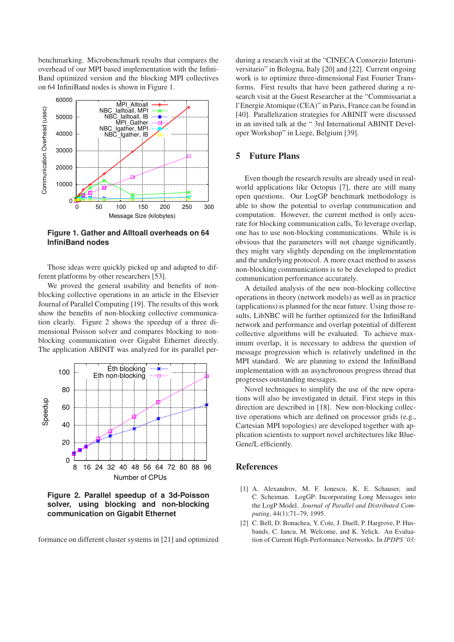benchmarking. Microbenchmark results that compares the overhead of our MPI based implementation with the Infini-Band optimized version and the blocking MPI collectives on 64 InfiniBand nodes is shown in Figure 1.



**Figure 1. Gather and Alltoall overheads on 64 InfiniBand nodes**

Those ideas were quickly picked up and adapted to different platforms by other researchers [53].

We proved the general usability and benefits of nonblocking collective operations in an article in the Elsevier Journal of Parallel Computing [19]. The results of this work show the benefits of non-blocking collective communication clearly. Figure 2 shows the speedup of a three dimensional Poisson solver and compares blocking to nonblocking communication over Gigabit Ethernet directly. The application ABINIT was analyzed for its parallel per-



**Figure 2. Parallel speedup of a 3d-Poisson solver, using blocking and non-blocking communication on Gigabit Ethernet**

formance on different cluster systems in [21] and optimized

during a research visit at the "CINECA Consorzio Interuniversitario" in Bologna, Italy [20] and [22]. Current ongoing work is to optimize three-dimensional Fast Fourier Transforms. First results that have been gathered during a research visit at the Guest Researcher at the "Commissariat a l'Energie Atomique (CEA)" in Paris, France can be found in [40]. Parallelization strategies for ABINIT were discussed in an invited talk at the " 3rd International ABINIT Developer Workshop" in Liege, Belgium [39].

## **5 Future Plans**

Even though the research results are already used in realworld applications like Octopus [7], there are still many open questions. Our LogGP benchmark methodology is able to show the potential to overlap communication and computation. However, the current method is only accurate for blocking communication calls, To leverage overlap, one has to use non-blocking communications. While is is obvious that the parameters will not change significantly, they might vary slightly depending on the implementation and the underlying protocol. A more exact method to assess non-blocking communications is to be developed to predict communication performance accurately.

A detailed analysis of the new non-blocking collective operations in theory (network models) as well as in practice (applications) is planned for the near future. Using those results, LibNBC will be further optimized for the InfiniBand network and performance and overlap potential of different collective algorithms will be evaluated. To achieve maximum overlap, it is necessary to address the question of message progression which is relatively undefined in the MPI standard. We are planning to extend the InfiniBand implementation with an asynchronous progress thread that progresses outstanding messages.

Novel techniques to simplify the use of the new operations will also be investigated in detail. First steps in this direction are described in [18]. New non-blocking collective operations which are defined on processor grids (e.g., Cartesian MPI topologies) are developed together with application scientists to support novel architectures like Blue-Gene/L efficiently.

### **References**

- [1] A. Alexandrov, M. F. Ionescu, K. E. Schauser, and C. Scheiman. LogGP: Incorporating Long Messages into the LogP Model. *Journal of Parallel and Distributed Computing*, 44(1):71–79, 1995.
- [2] C. Bell, D. Bonachea, Y. Cote, J. Duell, P. Hargrove, P. Husbands, C. Iancu, M. Welcome, and K. Yelick. An Evaluation of Current High-Performance Networks. In *IPDPS '03:*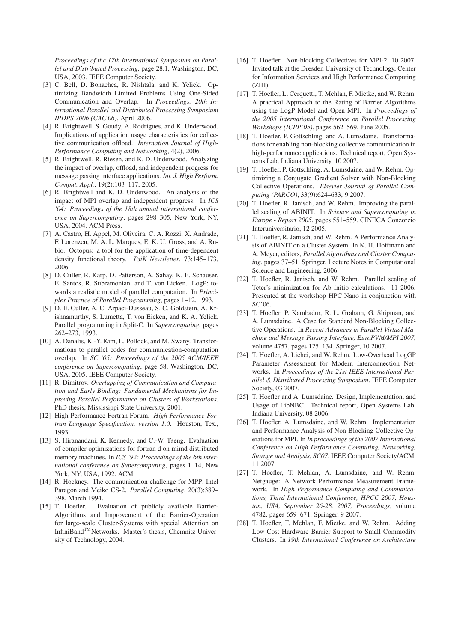*Proceedings of the 17th International Symposium on Parallel and Distributed Processing*, page 28.1, Washington, DC, USA, 2003. IEEE Computer Society.

- [3] C. Bell, D. Bonachea, R. Nishtala, and K. Yelick. Optimizing Bandwidth Limited Problems Using One-Sided Communication and Overlap. In *Proceedings, 20th International Parallel and Distributed Processing Symposium IPDPS 2006 (CAC 06)*, April 2006.
- [4] R. Brightwell, S. Goudy, A. Rodrigues, and K. Underwood. Implications of application usage characteristics for collective communication offload. *Internation Journal of High-Performance Computing and Networking*, 4(2), 2006.
- [5] R. Brightwell, R. Riesen, and K. D. Underwood. Analyzing the impact of overlap, offload, and independent progress for message passing interface applications. *Int. J. High Perform. Comput. Appl.*, 19(2):103–117, 2005.
- [6] R. Brightwell and K. D. Underwood. An analysis of the impact of MPI overlap and independent progress. In *ICS '04: Proceedings of the 18th annual international conference on Supercomputing*, pages 298–305, New York, NY, USA, 2004. ACM Press.
- [7] A. Castro, H. Appel, M. Oliveira, C. A. Rozzi, X. Andrade, F. Lorenzen, M. A. L. Marques, E. K. U. Gross, and A. Rubio. Octopus: a tool for the application of time-dependent density functional theory. *PsiK Newsletter*, 73:145–173, 2006.
- [8] D. Culler, R. Karp, D. Patterson, A. Sahay, K. E. Schauser, E. Santos, R. Subramonian, and T. von Eicken. LogP: towards a realistic model of parallel computation. In *Principles Practice of Parallel Programming*, pages 1–12, 1993.
- [9] D. E. Culler, A. C. Arpaci-Dusseau, S. C. Goldstein, A. Krishnamurthy, S. Lumetta, T. von Eicken, and K. A. Yelick. Parallel programming in Split-C. In *Supercomputing*, pages 262–273, 1993.
- [10] A. Danalis, K.-Y. Kim, L. Pollock, and M. Swany. Transformations to parallel codes for communication-computation overlap. In *SC '05: Proceedings of the 2005 ACM/IEEE conference on Supercomputing*, page 58, Washington, DC, USA, 2005. IEEE Computer Society.
- [11] R. Dimitrov. *Overlapping of Communication and Computation and Early Binding: Fundamental Mechanisms for Improving Parallel Performance on Clusters of Workstations*. PhD thesis, Mississippi State University, 2001.
- [12] High Performance Fortran Forum. *High Performance Fortran Language Specification, version 1.0*. Houston, Tex., 1993.
- [13] S. Hiranandani, K. Kennedy, and C.-W. Tseng. Evaluation of compiler optimizations for fortran d on mimd distributed memory machines. In *ICS '92: Proceedings of the 6th international conference on Supercomputing*, pages 1–14, New York, NY, USA, 1992. ACM.
- [14] R. Hockney. The communication challenge for MPP: Intel Paragon and Meiko CS-2. *Parallel Computing*, 20(3):389– 398, March 1994.
- [15] T. Hoefler. Evaluation of publicly available Barrier-Algorithms and Improvement of the Barrier-Operation for large-scale Cluster-Systems with special Attention on InfiniBandTMNetworks. Master's thesis, Chemnitz University of Technology, 2004.
- [16] T. Hoefler. Non-blocking Collectives for MPI-2, 10 2007. Invited talk at the Dresden University of Technology, Center for Information Services and High Performance Computing (ZIH).
- [17] T. Hoefler, L. Cerquetti, T. Mehlan, F. Mietke, and W. Rehm. A practical Approach to the Rating of Barrier Algorithms using the LogP Model and Open MPI. In *Proceedings of the 2005 International Conference on Parallel Processing Workshops (ICPP'05)*, pages 562–569, June 2005.
- [18] T. Hoefler, P. Gottschling, and A. Lumsdaine. Transformations for enabling non-blocking collective communication in high-performance applications. Technical report, Open Systems Lab, Indiana University, 10 2007.
- [19] T. Hoefler, P. Gottschling, A. Lumsdaine, and W. Rehm. Optimizing a Conjugate Gradient Solver with Non-Blocking Collective Operations. *Elsevier Journal of Parallel Computing (PARCO)*, 33(9):624–633, 9 2007.
- [20] T. Hoefler, R. Janisch, and W. Rehm. Improving the parallel scaling of ABINIT. In *Science and Supercomputing in Europe - Report 2005*, pages 551–559. CINECA Conzorzio Interuniversitario, 12 2005.
- [21] T. Hoefler, R. Janisch, and W. Rehm. A Performance Analysis of ABINIT on a Cluster System. In K. H. Hoffmann and A. Meyer, editors, *Parallel Algorithms and Cluster Computing*, pages 37–51. Springer, Lecture Notes in Computational Science and Engineering, 2006.
- [22] T. Hoefler, R. Janisch, and W. Rehm. Parallel scaling of Teter's minimization for Ab Initio calculations. 11 2006. Presented at the workshop HPC Nano in conjunction with SC'06.
- [23] T. Hoefler, P. Kambadur, R. L. Graham, G. Shipman, and A. Lumsdaine. A Case for Standard Non-Blocking Collective Operations. In *Recent Advances in Parallel Virtual Machine and Message Passing Interface, EuroPVM/MPI 2007*, volume 4757, pages 125–134. Springer, 10 2007.
- [24] T. Hoefler, A. Lichei, and W. Rehm. Low-Overhead LogGP Parameter Assessment for Modern Interconnection Networks. In *Proceedings of the 21st IEEE International Parallel & Distributed Processing Symposium*. IEEE Computer Society, 03 2007.
- [25] T. Hoefler and A. Lumsdaine. Design, Implementation, and Usage of LibNBC. Technical report, Open Systems Lab, Indiana University, 08 2006.
- [26] T. Hoefler, A. Lumsdaine, and W. Rehm. Implementation and Performance Analysis of Non-Blocking Collective Operations for MPI. In *In proceedings of the 2007 International Conference on High Performance Computing, Networking, Storage and Analysis, SC07*. IEEE Computer Society/ACM, 11 2007.
- [27] T. Hoefler, T. Mehlan, A. Lumsdaine, and W. Rehm. Netgauge: A Network Performance Measurement Framework. In *High Performance Computing and Communications, Third International Conference, HPCC 2007, Houston, USA, September 26-28, 2007, Proceedings*, volume 4782, pages 659–671. Springer, 9 2007.
- [28] T. Hoefler, T. Mehlan, F. Mietke, and W. Rehm. Adding Low-Cost Hardware Barrier Support to Small Commodity Clusters. In *19th International Conference on Architecture*